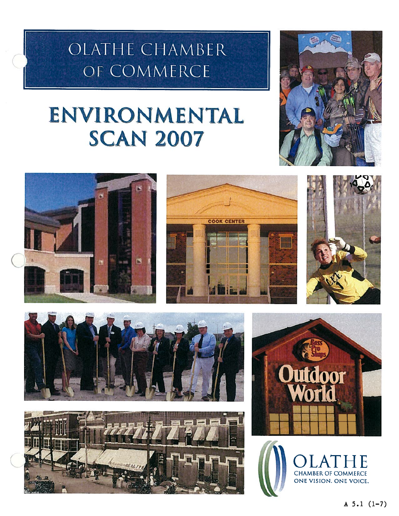# OLATHE CHAMBER OF COMMERCE

# ENVIRONMENTAL **SCAN 2007**

















OLATHE CHAMBER OF COMMERCE ONE VISION. ONE VOICE.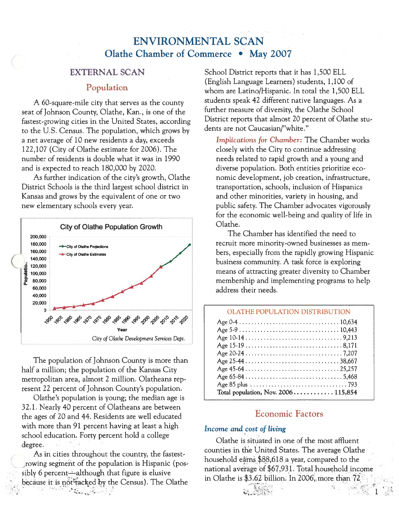# ENVIRONMENTAL SCAN Olathe Chamber of Commerce • May 2007

### EXTERNAL SCAN

#### Population

A 60-square-mile city that serves as the county seat of Johnson County, Olathe, Kan., is one of the fastest-growing cities in the United States, according to the U.S. Census. The population, which grows by <sup>a</sup> net average of 10 new residents <sup>a</sup> day, exceeds 122,107 (City of Olathe estimate for 2006). The number of residents is double what it was in 1990 and is expected to reach 180,000 by 2020.

As further indication of the city's growth, Olathe District Schools is the third largest school district in Kansas and grows by the equivalent of one or two new elementary schools every year.



The population of Johnson County is more than half <sup>a</sup> million; the population of the Kansas City metropolitan area, almost 2 million. Olatheans rep resent 22 percen<sup>t</sup> of Johnson County's population.

Olathe's population is young; the median age is 32.1. Nearly 40 percen<sup>t</sup> of Olatheans are between the ages of 20 and 44. Residents are well educated with more than 91 percen<sup>t</sup> having at least <sup>a</sup> high school education. Forty percen<sup>t</sup> hold <sup>a</sup> college degree.

As in cities throughout the country, the fastestrowing segment of the population is Hispanic (possibly 6 percent—although that figure is elusive because it is not tacked by the Census). The Olathe  $\label{eq:Ricci} \mathcal{P}(\mathcal{C}_{\text{max}},\mathcal{D}_{\text{max}},\mathcal{C}_{\text{max}})$ 

School District reports that it has 1,500 ELL (English Language Learners) students, 1,100 of whom are Latino/Hispanic. In total the 1,500 ELL students speak 42 different native languages. As <sup>a</sup> further measure of diversity, the Olathe School District reports that almost 20 percen<sup>t</sup> of Olathe stu dents are not Caucasian/"white."

Implications for Chamber: The Chamber works closely with the City to continue addressing needs related to rapid growth and <sup>a</sup> young and diverse population. Both entities prioritize eco nomic development, job creation, infrastructure, transportation, schools, inclusion of Hispanics and other minorities, variety in housing, and public safety. The Chamber advocates vigorously for the economic well-being and quality of life in Olathe.

The Chamber has identified the need to recruit more minority-owned businesses as mem bers, especially from the rapidly growing Hispanic business community. A task force is exploring means of attracting greater diversity to Chamber membership and implementing programs to help address their needs.

#### OLATHE POPULATION DISTRIBUTION Age 0-4 10,634 Age 5-9 10,443 Age 10-14 9,213 Age 15-19 8,171 Age 20-24 7,207 Age 25-44 38,667 Age 45-64 25,257 Age 65-84 5,468 Age 85 plus  $\ldots \ldots \ldots \ldots \ldots \ldots \ldots \ldots \ldots$  793 Total population, Nov.  $2006$ ........... 115,854

# Economic Factors

#### Income and cost of living

Olathe is situated in one of the most affluent counties in the United States. The average Olathe household earns \$88,618 <sup>a</sup> year, compared to the national average of \$67,931. Total household income in Olathe is \$3.62 billion. In 2006, more than 72

1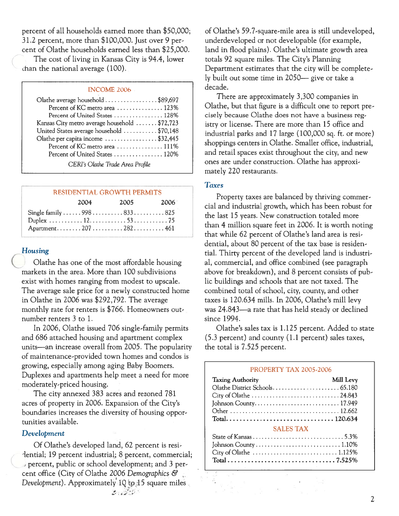percen<sup>t</sup> of all households earned more than \$50,000;  $31.2$  percent, more than  $$100,000$ . Just over 9 percent of Olathe households earned less than \$25,000.

The cost of living in Kansas City is 94.4, lower chan the national average (100).

#### INCOME 2006

| Olathe average household \$89,697            |
|----------------------------------------------|
| Percent of KC metro area  123%               |
| Percent of United States  128%               |
| Kansas City metro average household \$72,723 |
| United States average household \$70,148     |
| Olathe per capita income \$32,445            |
| Percent of KC metro area  111%               |
| Percent of United States  120%               |
| CERI's Olathe Trade Area Profile             |

#### RESIDENTIAL GROWTh PERMITS

| 2004 | 2005                         | 2006 |
|------|------------------------------|------|
|      | Single family  998  833  825 |      |
|      |                              |      |
|      | Apartment207282461           |      |

#### Housing

Olathe has one of the most affordable housing markets in the area. More than 100 subdivisions exist with homes ranging from modest to upscale. The average sale price for <sup>a</sup> newly constructed home in Olathe in 2006 was \$292,792. The average monthly rate for renters is \$766. Homeowners out number renters 3 to 1.

In 2006, Olathe issued 706 single-family permits and 686 attached housing and apartment complex units—an increase overall from 2005. The popularity of maintenance-provided town homes and condos is growing, especially among aging Baby Boomers. Duplexes and apartments help meet <sup>a</sup> need for more moderately-priced housing.

The city annexed 383 acres and rezoned 781 acres of property in 2006. Expansion of the City's boundaries increases the diversity of housing oppor tunities available.

#### Development

Of Olathe's developed land, 62 percen<sup>t</sup> is resi dential; 19 percent industrial; 8 percent, commercial; percent, public or school development; and 3 per cent office (City of Olathe 2006 Demographics & Development). Approximately 10 to 15 square miles  $\frac{9}{25}$  ,  $\frac{3}{25}$  ,  $\frac{3}{25}$  ,

of Olathe's 59.7-square-mile area is still undeveloped, underdeveloped or not developable (for example, land in flood plains). Olathe's ultimate growth area totals 92 square miles. The City's Planning Department estimates that the city will be complete ly built out some time in 2050— <sup>g</sup>ive or take <sup>a</sup> decade.

There are approximately 3,300 companies in Olathe, but that figure is <sup>a</sup> difficult one to repor<sup>t</sup> pre cisely because Olathe does not have <sup>a</sup> business reg istry or license. There are more than 15 office and industrial parks and 17 large (100,000 sq. ft. or more) shoppings centers in Olathe. Smaller office, industrial, and retail spaces exist throughout the city, and new ones are under construction. Olathe has approxi mately 220 restaurants.

#### **Taxes**

Property taxes are balanced by thriving commer cial and industrial growth, which has been robust for the last 15 years. New construction totaled more than 4 million square feet in 2006. It is worth noting that while 62 percen<sup>t</sup> of Olathe's land area is resi dential, about 80 percen<sup>t</sup> of the tax base is residen tial. Thirty percen<sup>t</sup> of the developed land is industri al, commercial, and office combined (see paragraph above for breakdown), and 8 percen<sup>t</sup> consists of pub lic buildings and schools that are not taxed. The combined total of school, city, county, and other taxes is 120.634 mills. In 2006, Olathe's mill levy was 24.843—a rate that has held steady or declined since 1994.

Olathe's sales tax is 1.125 percent. Added to state (5.3 percent) and county (1.1 percent) sales taxes, the total is 7.525 percent.

| <b>PROPERTY TAX 2005-2006</b> |           |  |  |  |
|-------------------------------|-----------|--|--|--|
| <b>Taxing Authority</b>       | Mill Levy |  |  |  |
|                               |           |  |  |  |
|                               |           |  |  |  |
|                               |           |  |  |  |
|                               |           |  |  |  |
|                               |           |  |  |  |
| <b>SALES TAX</b>              |           |  |  |  |
|                               |           |  |  |  |
|                               |           |  |  |  |
|                               |           |  |  |  |
|                               |           |  |  |  |
|                               |           |  |  |  |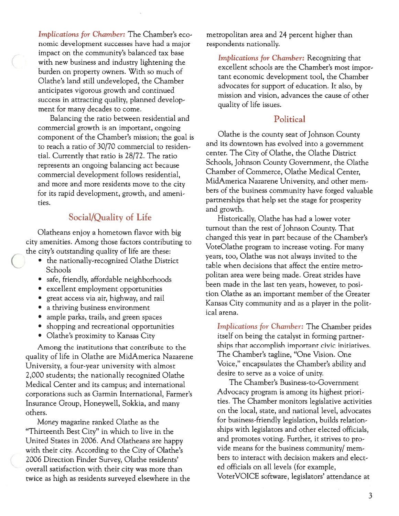Implications for Chamber: The Chamber's eco nomic development successes have had <sup>a</sup> major impact on the community's balanced tax base with new business and industry lightening the burden on property owners. With so much of Olathe's land still undeveloped, the Chamber anticipates vigorous growth and continued success in attracting quality, planned development for many decades to come.

Balancing the ratio between residential and commercial growth is an important, ongoing componen<sup>t</sup> of the Chamber's mission; the goal is to reach <sup>a</sup> ratio of 30/70 commercial to residen tial. Currently that ratio is 28/72. The ratio represents an ongoing balancing act because commercial development follows residential, and more and more residents move to the city for its rapid development, growth, and ameni ties.

# Social/Quality of Life

Olatheans enjoy <sup>a</sup> hometown flavor with big city amenities. Among those factors contributing to the city's outstanding quality of life are these:

- the nationally-recognized Olathe District Schools
- safe, friendly, affordable neighborhoods
- excellent employment opportunities
- grea<sup>t</sup> access via air, highway, and rail
- <sup>a</sup> thriving business environment
- ample parks, trails, and green spaces
- shopping and recreational opportunities
- Olathe's proximity to Kansas City

Among the institutions that contribute to the quality of life in Olathe are MidAmerica Nazarene University, <sup>a</sup> four-year university with almost 2,000 students; the nationally recognized Olathe Medical Center and its campus; and international corporations such as Garmin International, Farmer's Insurance Group, Honeywell, Sokkia, and many others.

Money magazine ranked Olathe as the "Thirteenth Best City" in which to live in the United States in 2006. And Olatheans are happy with their city. According to the City of Olathe's 2006 Direction Finder Survey, Olathe residents' overall satisfaction with their city was more than twice as high as residents surveyed elsewhere in the metropolitan area and 24 percen<sup>t</sup> higher than respondents nationally.

Implications for Chamber: Recognizing that excellent schools are the Chamber's most impor tant economic development tool, the Chamber advocates for suppor<sup>t</sup> of education. It also, by mission and vision, advances the cause of other quality of life issues.

# **Political**

Olathe is the county seat of Johnson County and its downtown has evolved into <sup>a</sup> governmen<sup>t</sup> center. The City of Olathe, the Olathe District Schools, Johnson County Government, the Olathe Chamber of Commerce, Olathe Medical Center, MidAmerica Nazarene University, and other mem bers of the business community have forged valuable partnerships that help set the stage for prosperity and growth.

Historically, Olathe has had <sup>a</sup> lower voter turnout than the rest of Johnson County. That changed this year in par<sup>t</sup> because of the Chamber's VoteOlathe program to increase voting. For many years, too, Olathe was not always invited to the table when decisions that affect the entire metro politan area were being made. Great strides have been made in the last ten years, however, to posi tion Olathe as an important member of the Greater Kansas City community and as <sup>a</sup> player in the polit ical arena.

Implications for Chamber: The Chamber prides itself on being the catalyst in forming partner ships that accomplish important civic initiatives. The Chamber's tagline, "One Vision. One Voice," encapsulates the Chamber's ability and desire to serve as <sup>a</sup> voice of unity.

The Chamber's Business-to-Government Advocacy program is among its highest priori ties. The Chamber monitors legislative activities on the local, state, and national level, advocates for business-friendly legislation, builds relation ships with legislators and other elected officials, and promotes voting. Further, it strives to pro vide means for the business community/ mem bers to interact with decision makers and elect ed officials on all levels (for example, VoterVOICE software, legislators' attendance at

3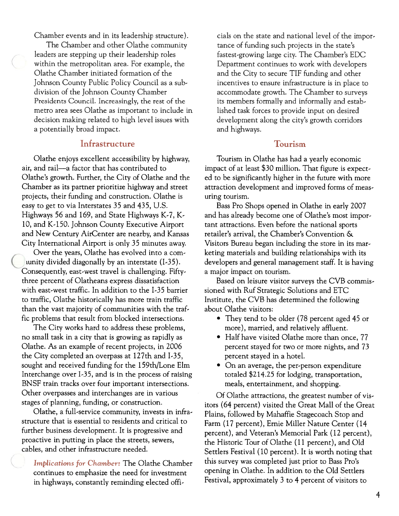Chamber events and in its leadership structure).

The Chamber and other Olathe community leaders are stepping up their leadership roles within the metropolitan area. For example, the Olathe Chamber initiated formation of the Johnson County Public Policy Council as <sup>a</sup> sub division of the Johnson County Chamber Presidents Council. Increasingly, the rest of the metro area sees Olathe as important to include in decision making related to high level issues with <sup>a</sup> potentially broad impact.

# Infrastructure

Olathe enjoys excellent accessibility by highway, air, and rail—a factor that has contributed to Olathe's growth. Further, the City of Olathe and the Chamber as its partner prioritize highway and street projects, their funding and construction. Olathe is easy to ge<sup>t</sup> to via Interstates 35 and 435, U.s. Highways 56 and 169, and State Highways K-7, K-10, and K-150. Johnson County Executive Airport and New Century AirCenter are nearby, and Kansas City International Airport is only 35 minutes away.

Over the years, Olathe has evolved into a comiunity divided diagonally by an interstate (1-35). Consequently, east-west travel is challenging. Fiftythree percen<sup>t</sup> of Olatheans express dissatisfaction with east-west traffic. In addition to the 1-35 barrier to traffic, Olathe historically has more train traffic than the vast majority of communities with the traf fic problems that result from blocked intersections.

The City works hard to address these problems, no small task in <sup>a</sup> city that is growing as rapidly as Olathe. As an example of recent projects, in 2006 the City completed an overpass at 127th and 1-35, sought and received funding for the 159th/Lone Elm Interchange over 1-35, and is in the process of raising BNSF train tracks over four important intersections. Other overpasses and interchanges are in various stages of planning, funding, or construction.

Olathe, <sup>a</sup> full-service community, invests in infra structure that is essential to residents and critical to further business development. It is progressive and proactive in putting in place the streets, sewers, cables, and other infrastructure needed.

Implications for Chamber: The Olathe Chamber continues to emphasize the need for investment in highways, constantly reminding elected offi

cials on the state and national level of the impor tance of funding such projects in the state's fastest-growing large city. The Chamber's EDC Department continues to work with developers and the City to secure TIF funding and other incentives to ensure infrastructure is in place to accommodate growth. The Chamber to surveys its members formally and informally and estab lished task forces to provide input on desired development along the city's growth corridors and highways.

### Tourism

Tourism in Olathe has had <sup>a</sup> yearly economic impact of at least \$30 million. That figure is expec<sup>t</sup> ed to be significantly higher in the future with more attraction development and improved forms of meas uring tourism.

Bass Pro Shops opened in Olathe in early 2007 and has already become one of Olathe's most impor tant attractions. Even before the national sports retailer's arrival, the Chamber's Convention & Visitors Bureau began including the store in its mar keting materials and building relationships with its developers and general managemen<sup>t</sup> staff. It is having <sup>a</sup> major impact on tourism.

Based on leisure visitor surveys the CVB commis sioned with Ruf Strategic Solutions and ETC Institute, the CVB has determined the following about Olathe visitors:

- They tend to be older (78 percen<sup>t</sup> aged 45 or more), married, and relatively affluent.
- Half have visited Olathe more than once, 77 percen<sup>t</sup> stayed for two or more nights, and 73 percen<sup>t</sup> stayed in <sup>a</sup> hotel.
- On an average, the per-person expenditure totaled \$214.25 for lodging, transportation, meals, entertainment, and shopping.

Of Olathe attractions, the greatest number of vis itors (64 percent) visited the Great Mall of the Great Plains, followed by Mahaffie Stagecoach Stop and Farm (17 percent), Ernie Miller Nature Center (14 percent), and Veteran's Memorial Park (12 percent), the Historic Tour of Olathe (11 percent), and Old Settlers Festival (10 percent). It is worth noting that this survey was completed just prior to Bass Pro's opening in Olathe. In addition to the Old Settlers Festival, approximately 3 to 4 percen<sup>t</sup> of visitors to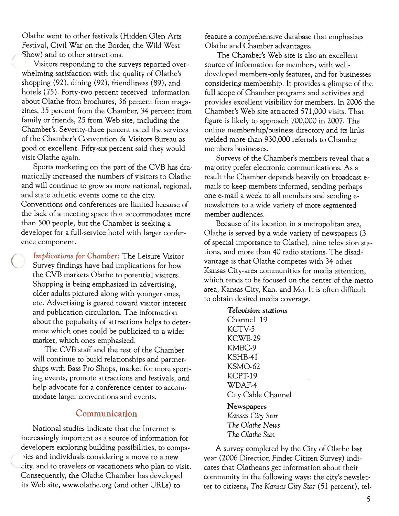Olathe went to other festivals (Hidden Glen Arts Festival, Civil War on the Border, the Wild West show) and to other attractions.

Visitors responding to the surveys reported over whelming satisfaction with the quality of Olathe's shopping (92), dining (92), friendliness (89), and hotels (75). Forty-two percen<sup>t</sup> received information about Olathe from brochures, <sup>36</sup> percen<sup>t</sup> from maga zines, 35 percen<sup>t</sup> from the Chamber, 34 percen<sup>t</sup> from family or friends, 25 from Web site, including the Chamber's. Seventy-three percen<sup>t</sup> rated the services of the Chamber's Convention & Visitors Bureau as good or excellent. Fifty-six percen<sup>t</sup> said they would visit Olathe again.

Sports marketing on the par<sup>t</sup> of the CVB has dra matically increased the numbers of visitors to Olathe and will continue to grow as more national, regional, and state athletic events come to the city. Conventions and conferences are limited because of the lack of <sup>a</sup> meeting space that accommodates more than 500 people, but the Chamber is seeking <sup>a</sup> developer for <sup>a</sup> full-service hotel with larger confer ence component.

Implications for Chamber: The Leisure Visitor Survey findings have had implications for how the CVB markets Olathe to potential visitors. Shopping is being emphasized in advertising, older adults pictured along with younger ones, etc. Advertising is geared toward visitor interest and publication circulation. The information about the popularity of attractions helps to deter mine which ones could be publicized to <sup>a</sup> wider market, which ones emphasized.

The CVB staff and the rest of the Chamber will continue to build relationships and partner ships with Bass Pro Shops, market for more spor<sup>t</sup> ing events, promote attractions and festivals, and help advocate for <sup>a</sup> conference center to accom modate larger conventions and events.

# Communication

National studies indicate that the Internet is increasingly important as <sup>a</sup> source of information for developers exploring building possibilities, to compa ries and individuals considering a move to a new ity, and to travelers or vacationers who plan to visit. Consequently, the Olathe Chamber has developed its Web site, www.olathe.org (and other URLs) to

feature <sup>a</sup> comprehensive database that emphasizes Olathe and Chamber advantages.

The Chamber's Web site is also an excellent source of information for members, with welldeveloped members-only features, and for businesses considering membership. It provides <sup>a</sup> glimpse of the full scope of Chamber programs and activities and provides excellent visibility for members. In 2006 the Chamber's Web site attracted 571,000 visits. That figure is likely to approach 700,000 in 2007. The online membership/business directory and its links yielded more than 930,000 referrals to Chamber members businesses.

Surveys of the Chamber's members reveal that <sup>a</sup> majority prefer electronic communications. As <sup>a</sup> result the Chamber depends heavily on broadcast e mails to keep members informed, sending perhaps one e-mail <sup>a</sup> week to all members and sending e newsletters to <sup>a</sup> wide variety of more segmented member audiences.

Because of its location in <sup>a</sup> metropolitan area, Olathe is served by <sup>a</sup> wide variety of newspapers (3 of special importance to Olathe), nine television sta tions, and more than 40 radio stations. The disad vantage is that Olathe competes with 34 other Kansas City-area communities for media attention, which tends to be focused on the center of the metro area, Kansas City, Kan. and Mo. It is often difficult to obtain desired media coverage.

> Television stations Channel 19 KCTV-5 KCWE-29 KMBC-9 KSHB-41 KSMO-62 KCPT-19 WDAF-4 City Cable Channel

Newspapers Kansas City Star The 0lathe News The Olathe Sun

A survey completed by the City of Olathe last year (2006 Direction Finder Citizen Survey) indi cates that Olatheans ge<sup>t</sup> information about their community in the following ways: the city's newslet ter to citizens, The Kansas City Star (51 percent), tel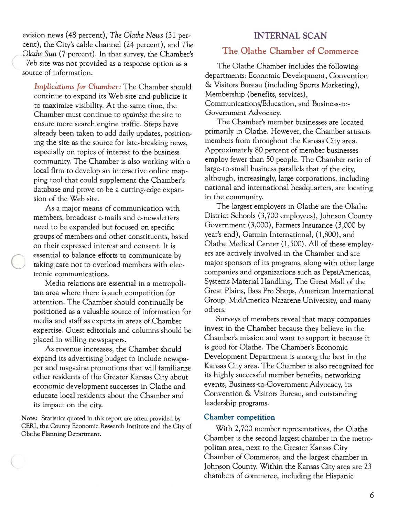evision news (48 percent), The Olathe News (31 per-<br>INTERNAL SCAN cent), the City's cable channel (24 percent), and The Olathe Sun (7 percent). In that survey, the Chamber's Veb site was not provided as a response option as a source of information.

Implications for Chamber: The Chamber should continue to expand its Web site and publicize it to maximize visibility. At the same time, the Chamber must continue to optimize the site to ensure more search engine traffic. Steps have already been taken to add daily updates, position ing the site as the source for late-breaking news, especially on topics of interest to the business community. The Chamber is also working with <sup>a</sup> local firm to develop an interactive online map ping tool that could supplement the Chamber's database and prove to be <sup>a</sup> cutting-edge expan sion of the Web site.

As <sup>a</sup> major means of communication with members, broadcast e-mails and e-newsletters need to be expanded but focused on specific groups of members and other constituents, based on their expressed interest and consent. It is essential to balance efforts to communicate by taking care not to overload members with elec tronic communications.

Media relations are essential in <sup>a</sup> metropoli tan area where there is such competition for attention. The Chamber should continually be positioned as <sup>a</sup> valuable source of information for media and staff as experts in areas of Chamber expertise. Guest editorials and columns should be placed in willing newspapers.

As revenue increases, the Chamber should expand its advertising budget to include newspa per and magazine promotions that will familiarize other residents of the Greater Kansas City about economic development successes in Olathe and educate local residents about the Chamber and its impact on the city.

Note: Statistics quoted in this report are often provided by CERI, the County Economic Research Institute and the City of Olathe Planning Department.

# The Olathe Chamber of Commerce

The Olathe Chamber includes the following departments: Economic Development, Convention & Visitors Bureau (including Sports Marketing), Membership (benefits, services), Communications/Education, and Business-to-Government Advocacy.

The Chamber's member businesses are located primarily in Olathe. However, the Chamber attracts members from throughout the Kansas City area. Approximately 80 percent of member businesses employ fewer than 50 people. The Chamber ratio of large-to-small business parallels that of the city, although, increasingly, large corporations, including national and international headquarters, are locating in the community.

The largest employers in Olathe are the Olathe District Schools (3,700 employees), Johnson County Government (3,000), Farmers Insurance (3,000 by year's end), Garmin International, (1,800), and Olathe Medical Center (1,500). All of these employ ers are actively involved in the Chamber and are major sponsors of its programs, along with other large companies and organizations such as PepsiAmericas, Systems Material Handling, The Great Mall of the Great Plains, Bass Pro Shops, American International Group, MidAmerica Nazarene University, and many others.

Surveys of members reveal that many companies invest in the Chamber because they believe in the Chamber's mission and want to support it because it is good for Olathe. The Chamber's Economic Development Department is among the best in the Kansas City area. The Chamber is also recognized for its highly successful member benefits, networking events, Business-to-Government Advocacy, its Convention & Visitors Bureau, and outstanding leadership programs.

#### Chamber competition

With 2,700 member representatives, the Olathe Chamber is the second largest chamber in the metro politan area, next to the Greater Kansas City Chamber of Commerce, and the largest chamber in Johnson County. Within the Kansas City area are 23 chambers of commerce, including the Hispanic